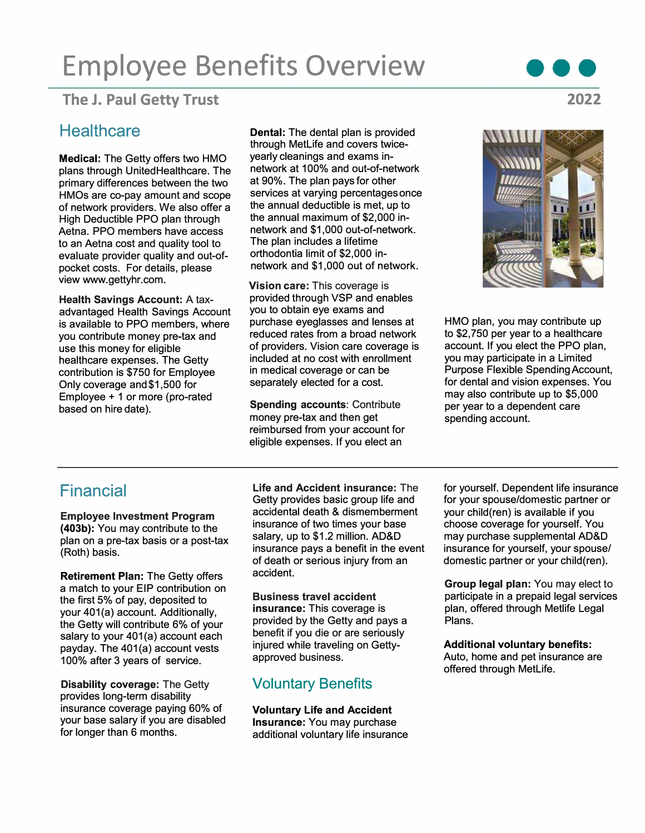# **Employee Benefits Overview**

### **The** J. **Paul Getty Trust**

#### **Healthcare**

**Medical:** The Getty offers two HMO plans through UnitedHealthcare. The primary differences between the two HMOs are co-pay amount and scope of network providers. We also offer a High Deductible PPO plan through Aetna. PPO members have access to an Aetna cost and quality tool to evaluate provider quality and out-ofpocket costs. For details, please view www.gettyhr.com.

**Health Savings Account:** A taxadvantaged Health Savings Account is available to PPO members, where you contribute money pre-tax and use this money for eligible healthcare expenses. The Getty contribution is \$750 for Employee Only coverage and\$1,500 for Employee + 1 or more (pro-rated based on hire date).

**Dental:** The dental plan is provided through MetLife and covers twiceyearly cleanings and exams innetwork at 100% and out-of-network at 90%. The plan pays for other services at varying percentages once the annual deductible is met, up to the annual maximum of \$2,000 innetwork and \$1,000 out-of-network. The plan includes a lifetime orthodontia limit of \$2,000 innetwork and \$1,000 out of network.

**Vision care:** This coverage is provided through VSP and enables you to obtain eye exams and purchase eyeglasses and lenses at reduced rates from a broad network of providers. Vision care coverage is included at no cost with enrollment in medical coverage or can be separately elected for a cost.

**Spending accounts: Contribute** money pre-tax and then get reimbursed from your account for eligible expenses. If you elect an



HMO plan, you may contribute up to \$2,750 per year to a healthcare account. If you elect the PPO plan, you may participate in a Limited Purpose Flexible SpendingAccount, for dental and vision expenses. You may also contribute up to \$5,000 per year to a dependent care spending account.

# Financial

**Employee Investment Program (403b):** You may contribute to the plan on a pre-tax basis or a post-tax (Roth) basis.

**Retirement Plan:** The Getty offers a match to your EIP contribution on the first 5% of pay, deposited to your 401(a) account. Additionally, the Getty will contribute 6% of your salary to your 401(a) account each payday. The 401(a) account vests 100% after 3 years of service.

**Disability coverage:** The Getty provides long-term disability insurance coverage paying 60% of your base salary if you are disabled for longer than 6 months.

**Life and Accident insurance:** The Getty provides basic group life and accidental death & dismemberment insurance of two times your base salary, up to \$1.2 million. AD&D insurance pays a benefit in the event of death or serious injury from an accident.

**Business travel accident insurance:** This coverage is provided by the Getty and pays a benefit if you die or are seriously injured while traveling on Gettyapproved business.

#### Voluntary Benefits

**Voluntary Life and Accident Insurance:** You may purchase additional voluntary life insurance

for yourself. Dependent life insurance for your spouse/domestic partner or your child(ren) is available if you choose coverage for yourself. You may purchase supplemental AD&D insurance for yourself, your spouse/ domestic partner or your child(ren).

**Group legal plan:** You may elect to participate in a prepaid legal services plan, offered through Metlife Legal Plans.

**Additional voluntary benefits:** 

Auto, home and pet insurance are offered through MetLife.